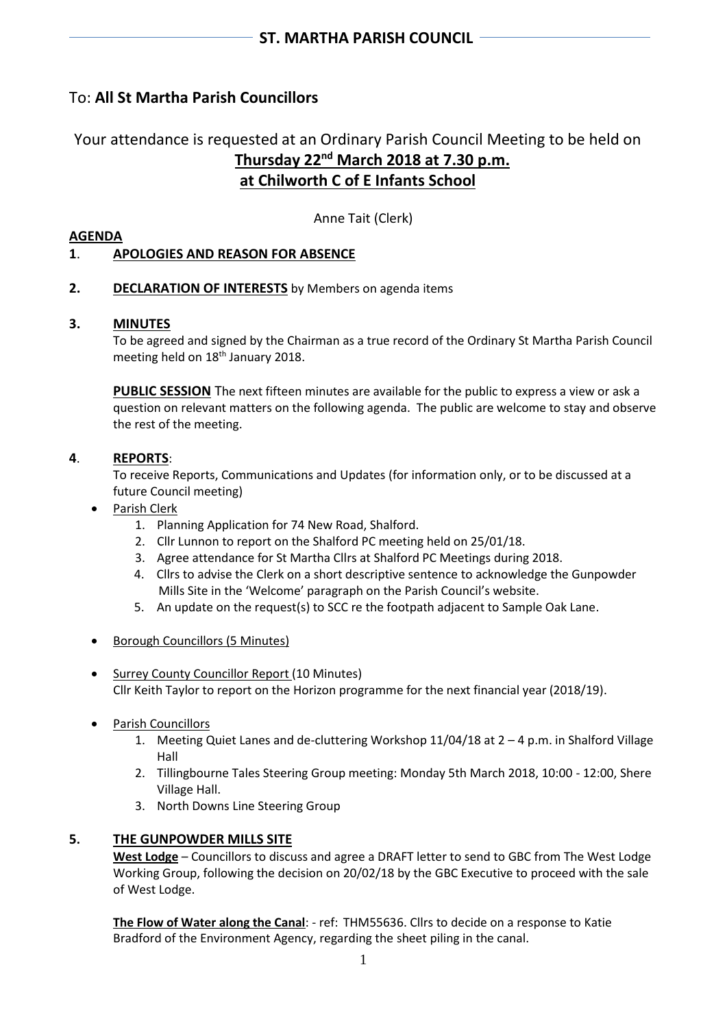# To: **All St Martha Parish Councillors**

# Your attendance is requested at an Ordinary Parish Council Meeting to be held on **Thursday 22nd March 2018 at 7.30 p.m. at Chilworth C of E Infants School**

Anne Tait (Clerk)

#### **AGENDA**

## **1**. **APOLOGIES AND REASON FOR ABSENCE**

### **2. DECLARATION OF INTERESTS** by Members on agenda items

#### **3. MINUTES**

To be agreed and signed by the Chairman as a true record of the Ordinary St Martha Parish Council meeting held on 18<sup>th</sup> January 2018.

**PUBLIC SESSION** The next fifteen minutes are available for the public to express a view or ask a question on relevant matters on the following agenda. The public are welcome to stay and observe the rest of the meeting.

### **4**. **REPORTS**:

To receive Reports, Communications and Updates (for information only, or to be discussed at a future Council meeting)

- Parish Clerk
	- 1. Planning Application for 74 New Road, Shalford.
	- 2. Cllr Lunnon to report on the Shalford PC meeting held on 25/01/18.
	- 3. Agree attendance for St Martha Cllrs at Shalford PC Meetings during 2018.
	- 4. Cllrs to advise the Clerk on a short descriptive sentence to acknowledge the Gunpowder Mills Site in the 'Welcome' paragraph on the Parish Council's website.
	- 5. An update on the request(s) to SCC re the footpath adjacent to Sample Oak Lane.
- Borough Councillors (5 Minutes)
- Surrey County Councillor Report (10 Minutes) Cllr Keith Taylor to report on the Horizon programme for the next financial year (2018/19).
- Parish Councillors
	- 1. Meeting Quiet Lanes and de-cluttering Workshop 11/04/18 at 2 4 p.m. in Shalford Village Hall
	- 2. Tillingbourne Tales Steering Group meeting: Monday 5th March 2018, 10:00 12:00, Shere Village Hall.
	- 3. North Downs Line Steering Group

# **5. THE GUNPOWDER MILLS SITE**

**West Lodge** – Councillors to discuss and agree a DRAFT letter to send to GBC from The West Lodge Working Group, following the decision on 20/02/18 by the GBC Executive to proceed with the sale of West Lodge.

**The Flow of Water along the Canal**: - ref: THM55636. Cllrs to decide on a response to Katie Bradford of the Environment Agency, regarding the sheet piling in the canal.